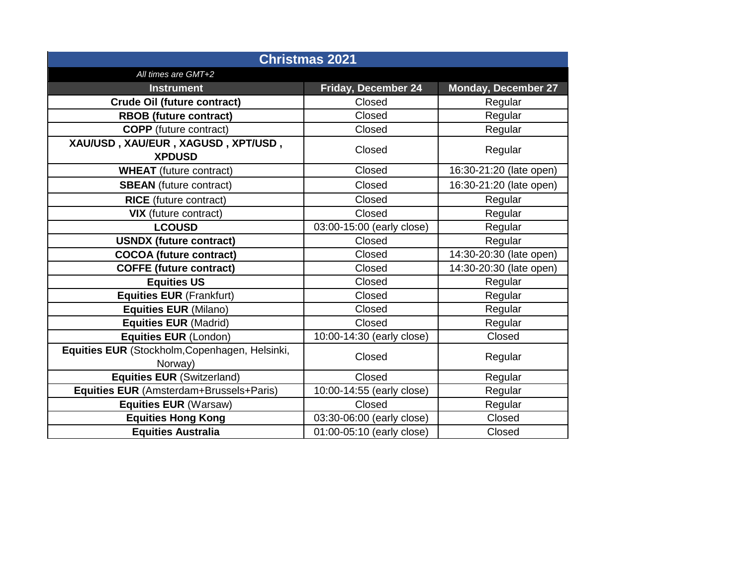| <b>Christmas 2021</b>                                     |                                     |                            |  |  |
|-----------------------------------------------------------|-------------------------------------|----------------------------|--|--|
| All times are GMT+2                                       |                                     |                            |  |  |
| <b>Instrument</b>                                         | Friday, December 24                 | <b>Monday, December 27</b> |  |  |
| <b>Crude Oil (future contract)</b>                        | Closed<br>Regular                   |                            |  |  |
| <b>RBOB</b> (future contract)                             | Closed<br>Regular                   |                            |  |  |
| <b>COPP</b> (future contract)                             | Closed                              | Regular                    |  |  |
| XAU/USD, XAU/EUR, XAGUSD, XPT/USD,<br><b>XPDUSD</b>       | Closed                              | Regular                    |  |  |
| <b>WHEAT</b> (future contract)                            | Closed                              | 16:30-21:20 (late open)    |  |  |
| <b>SBEAN</b> (future contract)                            | Closed                              | 16:30-21:20 (late open)    |  |  |
| <b>RICE</b> (future contract)                             | Closed                              | Regular                    |  |  |
| <b>VIX</b> (future contract)                              | Closed                              | Regular                    |  |  |
| <b>LCOUSD</b>                                             | 03:00-15:00 (early close)           | Regular                    |  |  |
| <b>USNDX (future contract)</b>                            | Closed                              | Regular                    |  |  |
| <b>COCOA (future contract)</b>                            | Closed                              | 14:30-20:30 (late open)    |  |  |
| <b>COFFE (future contract)</b>                            | Closed                              | 14:30-20:30 (late open)    |  |  |
| <b>Equities US</b>                                        | Closed                              | Regular                    |  |  |
| <b>Equities EUR (Frankfurt)</b>                           | Closed                              | Regular                    |  |  |
| <b>Equities EUR (Milano)</b>                              | Closed                              | Regular                    |  |  |
| <b>Equities EUR (Madrid)</b>                              | Closed                              | Regular                    |  |  |
| Equities EUR (London)                                     | 10:00-14:30 (early close)           | Closed                     |  |  |
| Equities EUR (Stockholm, Copenhagen, Helsinki,<br>Norway) | Closed                              | Regular                    |  |  |
| <b>Equities EUR (Switzerland)</b>                         | Closed                              | Regular                    |  |  |
| Equities EUR (Amsterdam+Brussels+Paris)                   | 10:00-14:55 (early close)           | Regular                    |  |  |
| <b>Equities EUR (Warsaw)</b>                              | Closed<br>Regular                   |                            |  |  |
| <b>Equities Hong Kong</b>                                 | 03:30-06:00 (early close)<br>Closed |                            |  |  |
| <b>Equities Australia</b>                                 | 01:00-05:10 (early close)<br>Closed |                            |  |  |